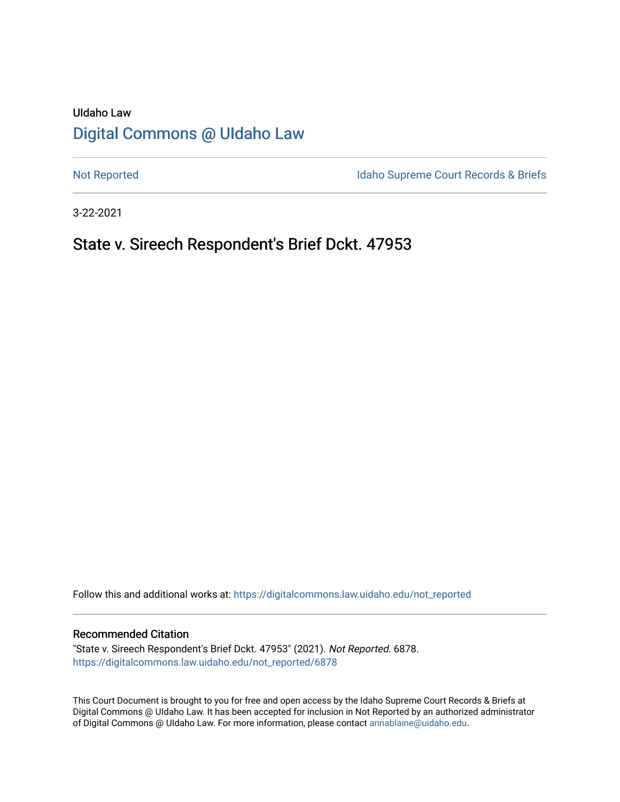# UIdaho Law [Digital Commons @ UIdaho Law](https://digitalcommons.law.uidaho.edu/)

[Not Reported](https://digitalcommons.law.uidaho.edu/not_reported) **Idaho Supreme Court Records & Briefs** 

3-22-2021

## State v. Sireech Respondent's Brief Dckt. 47953

Follow this and additional works at: [https://digitalcommons.law.uidaho.edu/not\\_reported](https://digitalcommons.law.uidaho.edu/not_reported?utm_source=digitalcommons.law.uidaho.edu%2Fnot_reported%2F6878&utm_medium=PDF&utm_campaign=PDFCoverPages) 

#### Recommended Citation

"State v. Sireech Respondent's Brief Dckt. 47953" (2021). Not Reported. 6878. [https://digitalcommons.law.uidaho.edu/not\\_reported/6878](https://digitalcommons.law.uidaho.edu/not_reported/6878?utm_source=digitalcommons.law.uidaho.edu%2Fnot_reported%2F6878&utm_medium=PDF&utm_campaign=PDFCoverPages)

This Court Document is brought to you for free and open access by the Idaho Supreme Court Records & Briefs at Digital Commons @ UIdaho Law. It has been accepted for inclusion in Not Reported by an authorized administrator of Digital Commons @ UIdaho Law. For more information, please contact [annablaine@uidaho.edu](mailto:annablaine@uidaho.edu).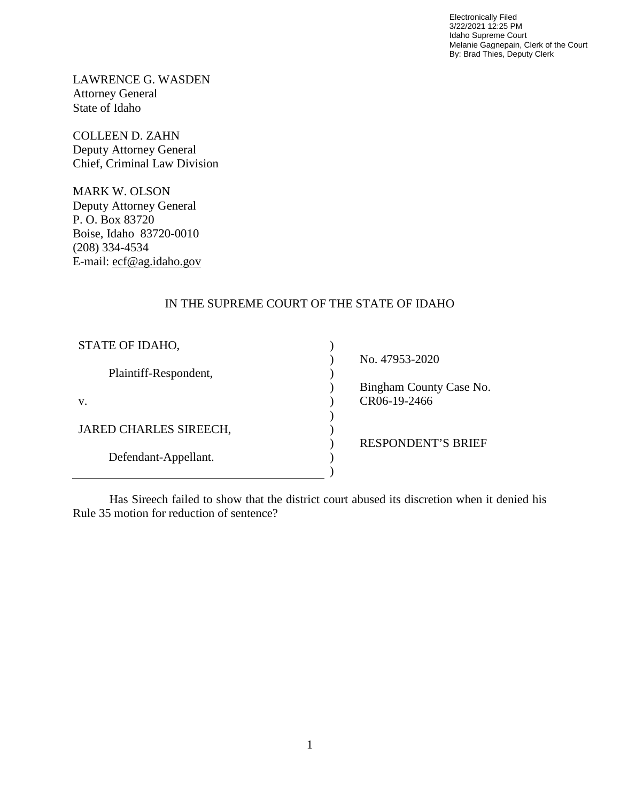Electronically Filed 3/22/2021 12:25 PM Idaho Supreme Court Melanie Gagnepain, Clerk of the Court By: Brad Thies, Deputy Clerk

LAWRENCE G. WASDEN Attorney General State of Idaho

COLLEEN D. ZAHN Deputy Attorney General Chief, Criminal Law Division

MARK W. OLSON Deputy Attorney General P. O. Box 83720 Boise, Idaho 83720-0010 (208) 334-4534 E-mail: ecf@ag.idaho.gov

## IN THE SUPREME COURT OF THE STATE OF IDAHO

| STATE OF IDAHO,        |                           |
|------------------------|---------------------------|
|                        | No. 47953-2020            |
| Plaintiff-Respondent,  |                           |
|                        | Bingham County Case No.   |
| V.                     | CR06-19-2466              |
|                        |                           |
| JARED CHARLES SIREECH, |                           |
|                        | <b>RESPONDENT'S BRIEF</b> |
| Defendant-Appellant.   |                           |
|                        |                           |

Has Sireech failed to show that the district court abused its discretion when it denied his Rule 35 motion for reduction of sentence?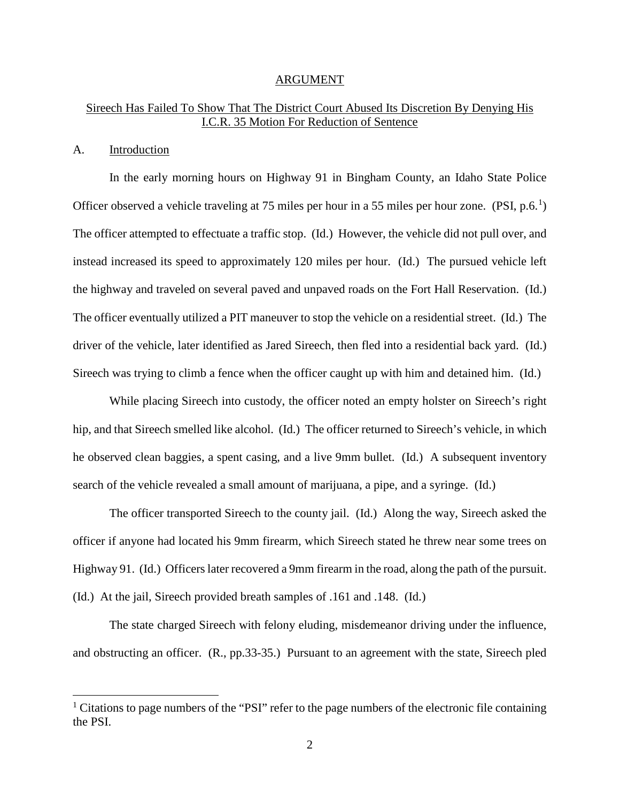#### ARGUMENT

## Sireech Has Failed To Show That The District Court Abused Its Discretion By Denying His I.C.R. 35 Motion For Reduction of Sentence

#### A. Introduction

 $\overline{a}$ 

In the early morning hours on Highway 91 in Bingham County, an Idaho State Police Officer observed a vehicle traveling at 75 miles per hour in a 55 miles per hour zone.  $(PSI, p.6<sup>1</sup>)$  $(PSI, p.6<sup>1</sup>)$  $(PSI, p.6<sup>1</sup>)$ The officer attempted to effectuate a traffic stop. (Id.) However, the vehicle did not pull over, and instead increased its speed to approximately 120 miles per hour. (Id.) The pursued vehicle left the highway and traveled on several paved and unpaved roads on the Fort Hall Reservation. (Id.) The officer eventually utilized a PIT maneuver to stop the vehicle on a residential street. (Id.) The driver of the vehicle, later identified as Jared Sireech, then fled into a residential back yard. (Id.) Sireech was trying to climb a fence when the officer caught up with him and detained him. (Id.)

While placing Sireech into custody, the officer noted an empty holster on Sireech's right hip, and that Sireech smelled like alcohol. (Id.) The officer returned to Sireech's vehicle, in which he observed clean baggies, a spent casing, and a live 9mm bullet. (Id.) A subsequent inventory search of the vehicle revealed a small amount of marijuana, a pipe, and a syringe. (Id.)

The officer transported Sireech to the county jail. (Id.) Along the way, Sireech asked the officer if anyone had located his 9mm firearm, which Sireech stated he threw near some trees on Highway 91. (Id.) Officers later recovered a 9mm firearm in the road, along the path of the pursuit. (Id.) At the jail, Sireech provided breath samples of .161 and .148. (Id.)

The state charged Sireech with felony eluding, misdemeanor driving under the influence, and obstructing an officer. (R., pp.33-35.) Pursuant to an agreement with the state, Sireech pled

<span id="page-2-0"></span><sup>&</sup>lt;sup>1</sup> Citations to page numbers of the "PSI" refer to the page numbers of the electronic file containing the PSI.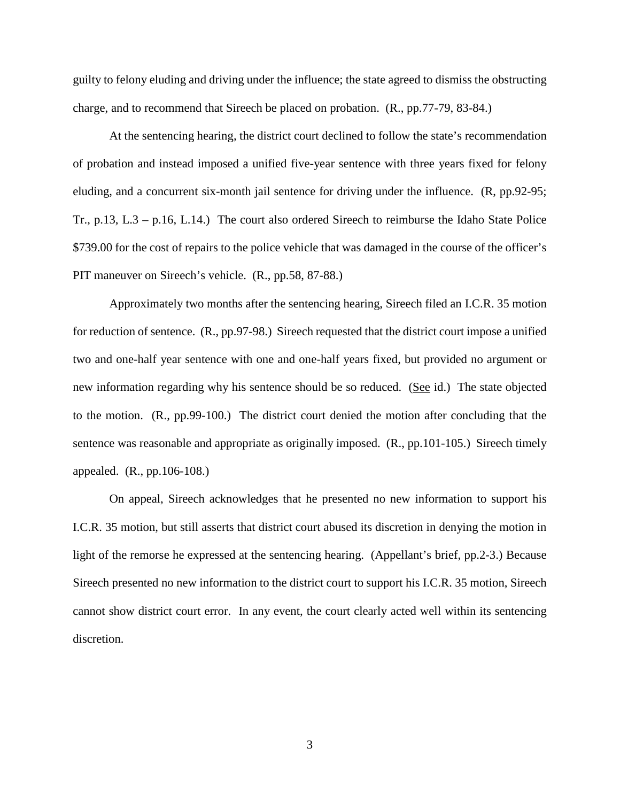guilty to felony eluding and driving under the influence; the state agreed to dismiss the obstructing charge, and to recommend that Sireech be placed on probation. (R., pp.77-79, 83-84.)

At the sentencing hearing, the district court declined to follow the state's recommendation of probation and instead imposed a unified five-year sentence with three years fixed for felony eluding, and a concurrent six-month jail sentence for driving under the influence. (R, pp.92-95; Tr., p.13, L.3 – p.16, L.14.) The court also ordered Sireech to reimburse the Idaho State Police \$739.00 for the cost of repairs to the police vehicle that was damaged in the course of the officer's PIT maneuver on Sireech's vehicle. (R., pp.58, 87-88.)

Approximately two months after the sentencing hearing, Sireech filed an I.C.R. 35 motion for reduction of sentence. (R., pp.97-98.) Sireech requested that the district court impose a unified two and one-half year sentence with one and one-half years fixed, but provided no argument or new information regarding why his sentence should be so reduced. (See id.) The state objected to the motion. (R., pp.99-100.) The district court denied the motion after concluding that the sentence was reasonable and appropriate as originally imposed. (R., pp.101-105.) Sireech timely appealed. (R., pp.106-108.)

On appeal, Sireech acknowledges that he presented no new information to support his I.C.R. 35 motion, but still asserts that district court abused its discretion in denying the motion in light of the remorse he expressed at the sentencing hearing. (Appellant's brief, pp.2-3.) Because Sireech presented no new information to the district court to support his I.C.R. 35 motion, Sireech cannot show district court error. In any event, the court clearly acted well within its sentencing discretion.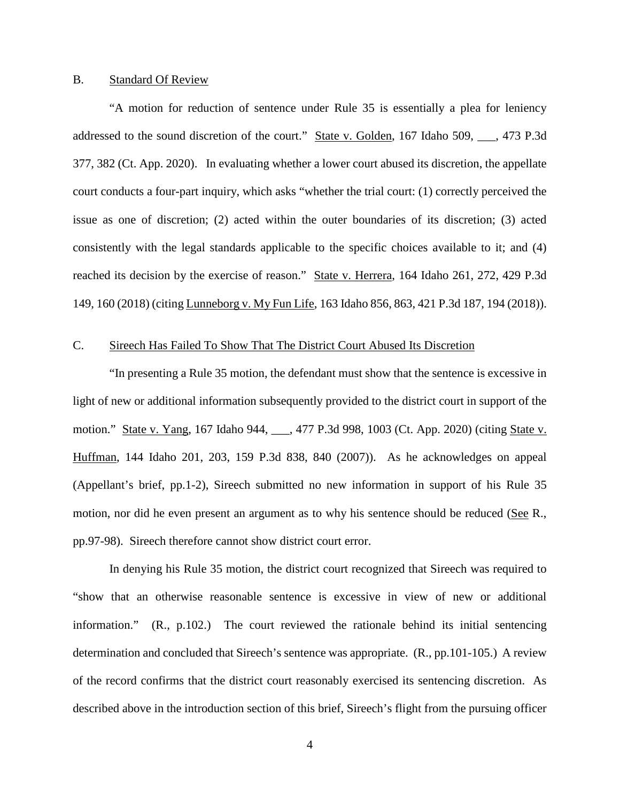#### B. Standard Of Review

 "A motion for reduction of sentence under Rule 35 is essentially a plea for leniency addressed to the sound discretion of the court." State v. Golden, 167 Idaho 509, \_\_\_, 473 P.3d 377, 382 (Ct. App. 2020). In evaluating whether a lower court abused its discretion, the appellate court conducts a four-part inquiry, which asks "whether the trial court: (1) correctly perceived the issue as one of discretion; (2) acted within the outer boundaries of its discretion; (3) acted consistently with the legal standards applicable to the specific choices available to it; and (4) reached its decision by the exercise of reason." State v. Herrera, 164 Idaho 261, 272, 429 P.3d 149, 160 (2018) (citing Lunneborg v. My Fun Life, 163 Idaho 856, 863, 421 P.3d 187, 194 (2018)).

#### C. Sireech Has Failed To Show That The District Court Abused Its Discretion

 "In presenting a Rule 35 motion, the defendant must show that the sentence is excessive in light of new or additional information subsequently provided to the district court in support of the motion." State v. Yang, 167 Idaho 944, \_\_\_, 477 P.3d 998, 1003 (Ct. App. 2020) (citing State v. Huffman, 144 Idaho 201, 203, 159 P.3d 838, 840 (2007)). As he acknowledges on appeal (Appellant's brief, pp.1-2), Sireech submitted no new information in support of his Rule 35 motion, nor did he even present an argument as to why his sentence should be reduced (See R., pp.97-98). Sireech therefore cannot show district court error.

In denying his Rule 35 motion, the district court recognized that Sireech was required to "show that an otherwise reasonable sentence is excessive in view of new or additional information." (R., p.102.) The court reviewed the rationale behind its initial sentencing determination and concluded that Sireech's sentence was appropriate. (R., pp.101-105.) A review of the record confirms that the district court reasonably exercised its sentencing discretion. As described above in the introduction section of this brief, Sireech's flight from the pursuing officer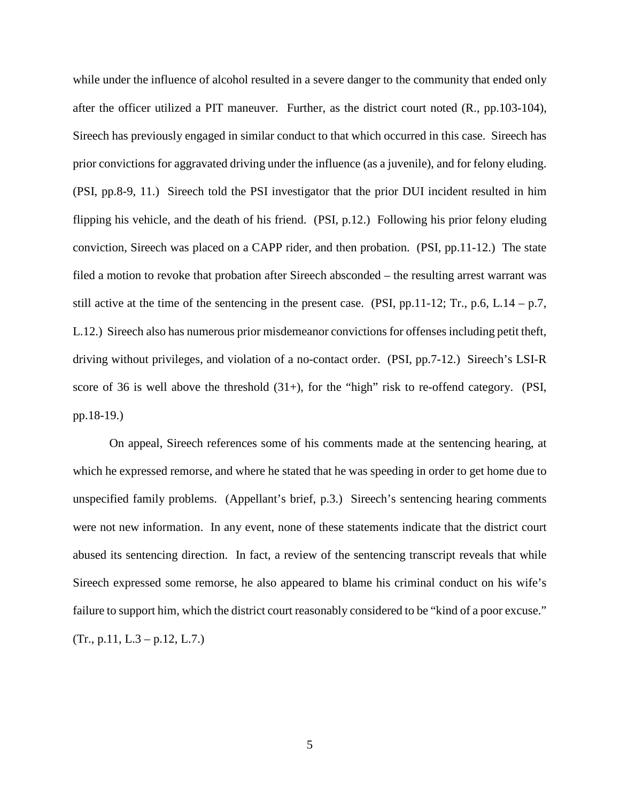while under the influence of alcohol resulted in a severe danger to the community that ended only after the officer utilized a PIT maneuver. Further, as the district court noted (R., pp.103-104), Sireech has previously engaged in similar conduct to that which occurred in this case. Sireech has prior convictions for aggravated driving under the influence (as a juvenile), and for felony eluding. (PSI, pp.8-9, 11.) Sireech told the PSI investigator that the prior DUI incident resulted in him flipping his vehicle, and the death of his friend. (PSI, p.12.) Following his prior felony eluding conviction, Sireech was placed on a CAPP rider, and then probation. (PSI, pp.11-12.) The state filed a motion to revoke that probation after Sireech absconded – the resulting arrest warrant was still active at the time of the sentencing in the present case. (PSI, pp. 11-12; Tr., p. 6, L.  $14 - p.7$ , L.12.) Sireech also has numerous prior misdemeanor convictions for offenses including petit theft, driving without privileges, and violation of a no-contact order. (PSI, pp.7-12.) Sireech's LSI-R score of 36 is well above the threshold  $(31+)$ , for the "high" risk to re-offend category. (PSI, pp.18-19.)

On appeal, Sireech references some of his comments made at the sentencing hearing, at which he expressed remorse, and where he stated that he was speeding in order to get home due to unspecified family problems. (Appellant's brief, p.3.) Sireech's sentencing hearing comments were not new information. In any event, none of these statements indicate that the district court abused its sentencing direction. In fact, a review of the sentencing transcript reveals that while Sireech expressed some remorse, he also appeared to blame his criminal conduct on his wife's failure to support him, which the district court reasonably considered to be "kind of a poor excuse."  $(Tr., p.11, L.3 - p.12, L.7.)$